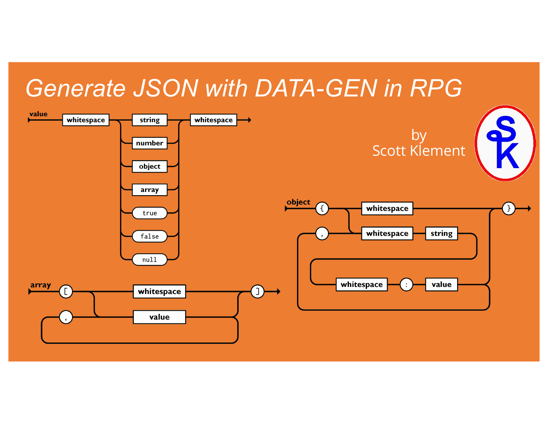#### *Generate JSON with DATA-GEN in RPG*

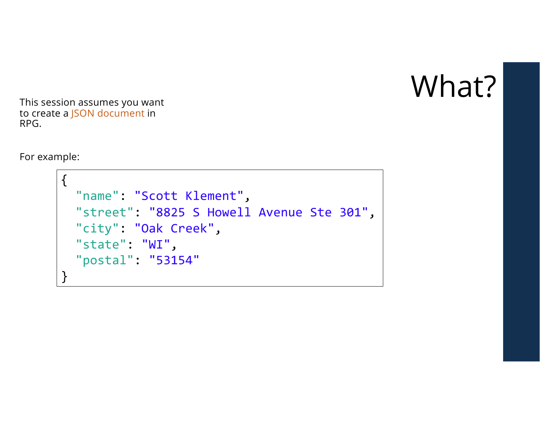

This session assumes you want to create a JSON document in RPG.

For example:

```
{
 "name": "Scott Klement",
  "street": "8825 S Howell Avenue Ste 301",
  "city": "Oak Creek",
 "state": "WI",
  "postal": "53154"
}
```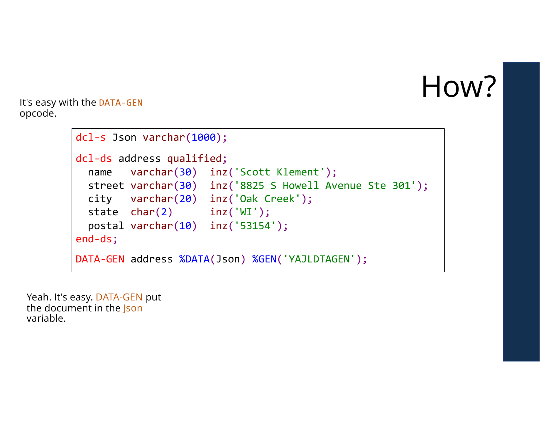#### How?

It's easy with the DATA-GEN opcode.

```
dcl-s Json varchar(1000);
dcl-ds address qualified;
  name varchar(30) inz('Scott Klement');
 street varchar(30) inz('8825 S Howell Avenue Ste 301');
 city varchar(20) inz('Oak Creek');
 state char(2) inz('WI');
 postal varchar(10) inz('53154');
end-ds;
DATA-GEN address %DATA(Json) %GEN('YAJLDTAGEN');
```
Yeah. It's easy. DATA-GEN put the document in the **Json** variable.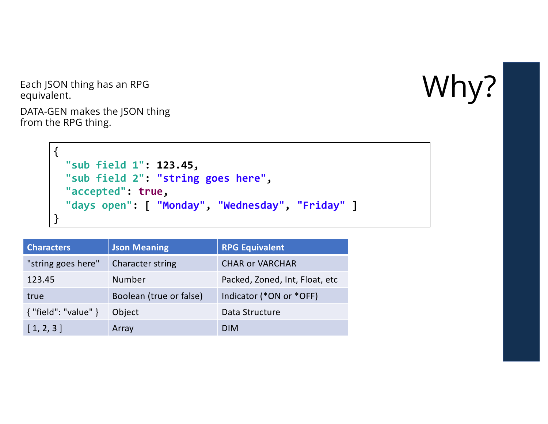Each JSON thing has an RPG  $W$ equivalent.

DATA-GEN makes the JSON thing from the RPG thing.

```
{
  "sub field 1": 123.45,
  "sub field 2": "string goes here",
  "accepted": true,
  "days open": [ "Monday", "Wednesday", "Friday" ]
}
```

| <b>Characters</b>       | <b>Json Meaning</b>     | <b>RPG Equivalent</b>          |
|-------------------------|-------------------------|--------------------------------|
| "string goes here"      | <b>Character string</b> | <b>CHAR or VARCHAR</b>         |
| 123.45                  | Number                  | Packed, Zoned, Int, Float, etc |
| true                    | Boolean (true or false) | Indicator (*ON or *OFF)        |
| $\{$ "field": "value" } | Object                  | Data Structure                 |
| [1, 2, 3]               | Array                   | <b>DIM</b>                     |

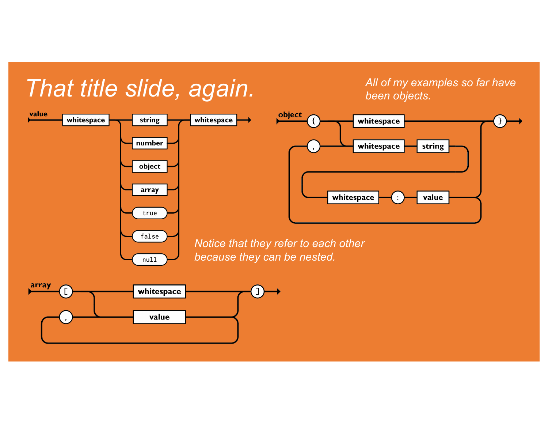#### *That title slide, again.*

value object whitespace string whitespace whitespace number whitespace string object array whitespace value  $\div$ true false *Notice that they refer to each other because they can be nested.*  $null$ array whitespace

*All of my examples so far have* 

*been objects.*

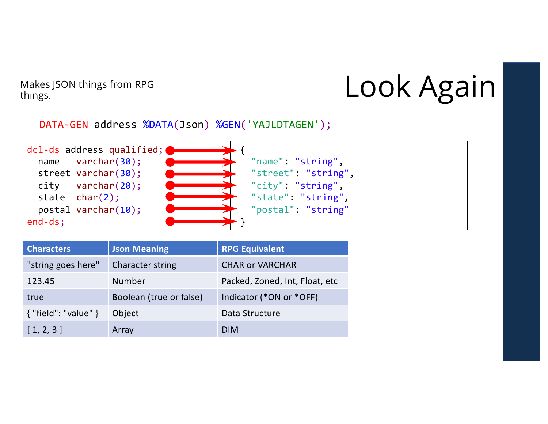things.

# Makes JSON things from RPG<br>things.<br> **Look Again**

DATA-GEN address %DATA(Json) %GEN('YAJLDTAGEN');



| <b>Characters</b>          | <b>Json Meaning</b>     | <b>RPG Equivalent</b>          |
|----------------------------|-------------------------|--------------------------------|
| "string goes here"         | <b>Character string</b> | <b>CHAR or VARCHAR</b>         |
| 123.45                     | Number                  | Packed, Zoned, Int, Float, etc |
| true                       | Boolean (true or false) | Indicator (*ON or *OFF)        |
| $\{$ "field": "value" $\}$ | Object                  | Data Structure                 |
| [1, 2, 3]                  | Array                   | <b>DIM</b>                     |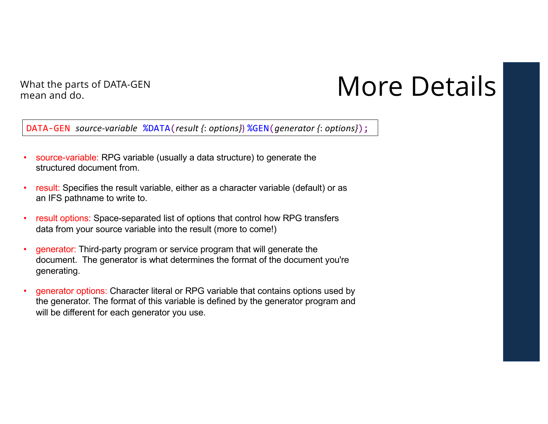mean and do.

#### What the parts of DATA-GEN<br>
mean and de

DATA-GEN *source-variable* %DATA(*result {*: *options}*) %GEN(*generator {*: *options}*);

- source-variable: RPG variable (usually a data structure) to generate the structured document from.
- result: Specifies the result variable, either as a character variable (default) or as an IFS pathname to write to.
- result options: Space-separated list of options that control how RPG transfers data from your source variable into the result (more to come!)
- generator: Third-party program or service program that will generate the document. The generator is what determines the format of the document you're generating.
- generator options: Character literal or RPG variable that contains options used by the generator. The format of this variable is defined by the generator program and will be different for each generator you use.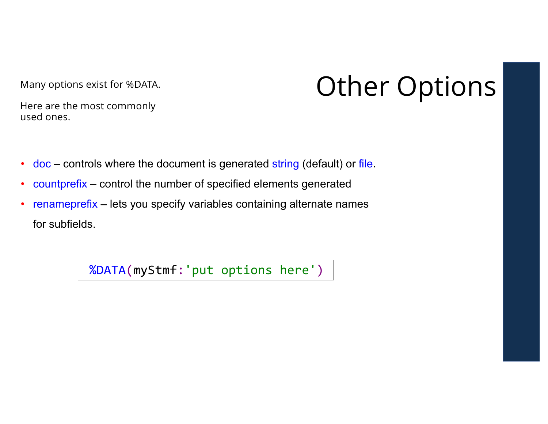Many options exist for %DATA. **Other Options** 

Here are the most commonly used ones.

- doc controls where the document is generated string (default) or file.
- countprefix control the number of specified elements generated
- renameprefix lets you specify variables containing alternate names for subfields.

%DATA(myStmf:'put options here')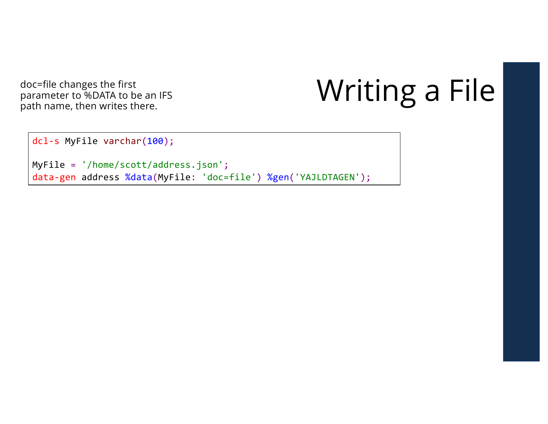doc=file changes the first parameter to %DATA to be an IFS<br>path name, then writes there.

## Writing a File

dcl-s MyFile varchar(100);

MyFile = '/home/scott/address.json'; data-gen address %data(MyFile: 'doc=file') %gen('YAJLDTAGEN');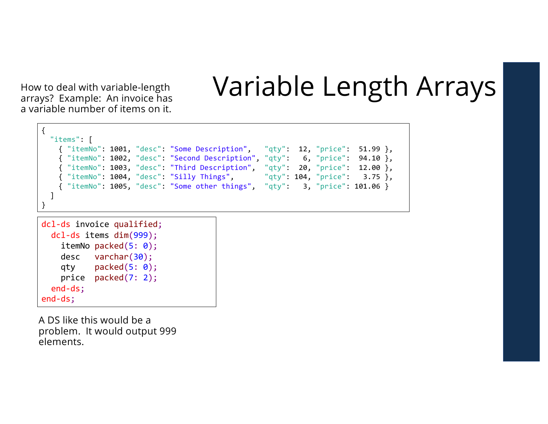How to deal with variable arrays? Example: An invoice has a variable number of items on it.

#### Variable Length Arrays

```
{
 "items": [
   { "itemNo": 1001, "desc": "Some Description", "qty": 12, "price": 51.99 },
   { "itemNo": 1002, "desc": "Second Description", "qty": 6, "price": 94.10 },
   { "itemNo": 1003, "desc": "Third Description", "qty": 20, "price": 12.00 },
   { "itemNo": 1004, "desc": "Silly Things", "qty": 104, "price": 3.75 },
   { "itemNo": 1005, "desc": "Some other things", "qty": 3, "price": 101.06 }
  ]
}
```

```
dcl-ds invoice qualified;
 dcl-ds items dim(999);
   itemNo packed(5: 0);
    desc varchar(30);
   qty packed(5: 0);
   price packed(7: 2);
 end-ds;
end-ds;
```
A DS like this would be a problem. It would output 999 elements.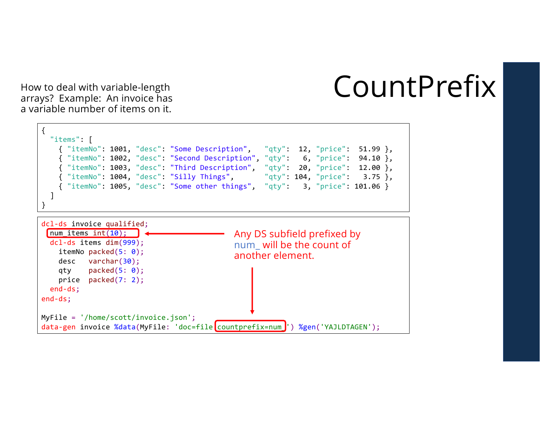#### CountPrefix

How to deal with variable arrays? Example: An invoice has a variable number of items on it.

```
dcl-ds invoice qualified;
 num items int(10);
 dcl-ds items dim(999);
    itemNo packed(5: 0);
    desc varchar(30);
    qty packed(5: 0);
   price packed(7: 2);
  end-ds;
end-ds;
MyFile = '/home/scott/invoice.json';
{
  "items": [
    { "itemNo": 1001, "desc": "Some Description", "qty": 12, "price": 51.99 },
    { "itemNo": 1002, "desc": "Second Description", "qty": 6, "price": 94.10 },
    { "itemNo": 1003, "desc": "Third Description", "qty": 20, "price": 12.00 },
   { "itemNo": 1004, "desc": "Silly Things", "qty": 104, "price": 3.75 },
    { "itemNo": 1005, "desc": "Some other things", "qty": 3, "price": 101.06 }
  ]
}
                                           Any DS subfield prefixed by 
                                           num_ will be the count of 
                                           another element.
```
data-gen invoice %data(MyFile: 'doc=file countprefix=num ') %gen('YAJLDTAGEN');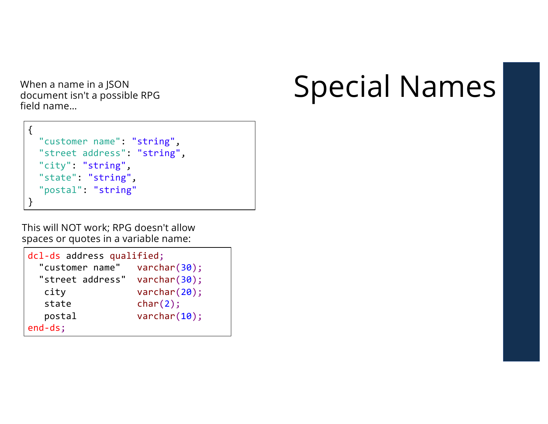document isn't a possible RPG field name…

```
{
  "customer name": "string",
  "street address": "string",
  "city": "string",
  "state": "string",
  "postal": "string"
}
```
This will NOT work; RPG doesn't allow spaces or quotes in a variable name:

```
dcl-ds address qualified;
 "customer name" varchar(30);
 "street address" varchar(30);
  city varchar(20);
  state char(2);
  postal varchar(10);
end-ds;
```
#### When a name in a JSON<br>document isn't a possible RPG<br> **Special NameS**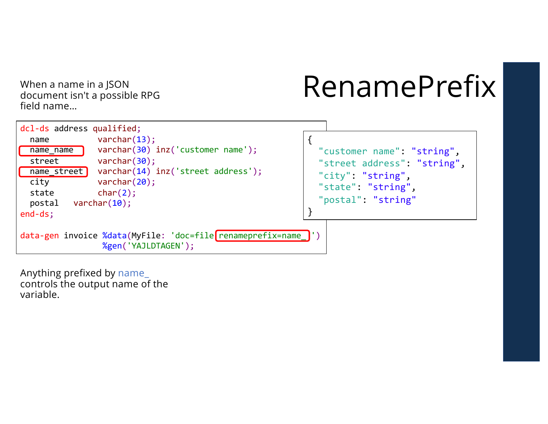document isn't a possible RPG field name…

## When a name in a JSON  $\mathsf{Remain}$   $\mathsf{Remain}$   $\mathsf{Remain}$



Anything prefixed by name\_ controls the output name of the variable.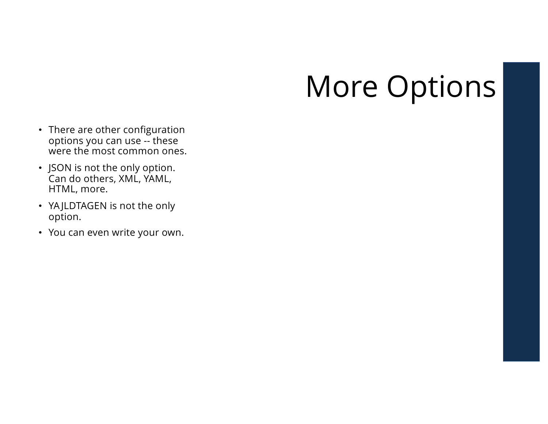## More Options

- There are other configuration options you can use -- these were the most common ones.
- JSON is not the only option. Can do others, XML, YAML, HTML, more.
- YA JLDTAGEN is not the only option.
- You can even write your own.